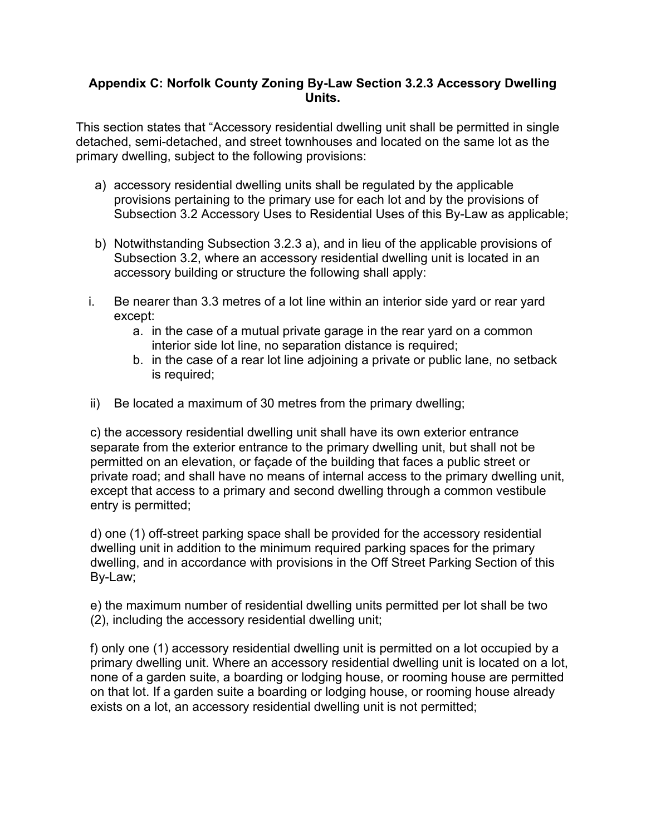## **Appendix C: Norfolk County Zoning By-Law Section 3.2.3 Accessory Dwelling Units.**

This section states that "Accessory residential dwelling unit shall be permitted in single detached, semi-detached, and street townhouses and located on the same lot as the primary dwelling, subject to the following provisions:

- a) accessory residential dwelling units shall be regulated by the applicable provisions pertaining to the primary use for each lot and by the provisions of Subsection 3.2 Accessory Uses to Residential Uses of this By-Law as applicable;
- b) Notwithstanding Subsection 3.2.3 a), and in lieu of the applicable provisions of Subsection 3.2, where an accessory residential dwelling unit is located in an accessory building or structure the following shall apply:
- i. Be nearer than 3.3 metres of a lot line within an interior side yard or rear yard except:
	- a. in the case of a mutual private garage in the rear yard on a common interior side lot line, no separation distance is required;
	- b. in the case of a rear lot line adjoining a private or public lane, no setback is required;
- ii) Be located a maximum of 30 metres from the primary dwelling;

c) the accessory residential dwelling unit shall have its own exterior entrance separate from the exterior entrance to the primary dwelling unit, but shall not be permitted on an elevation, or façade of the building that faces a public street or private road; and shall have no means of internal access to the primary dwelling unit, except that access to a primary and second dwelling through a common vestibule entry is permitted;

d) one (1) off-street parking space shall be provided for the accessory residential dwelling unit in addition to the minimum required parking spaces for the primary dwelling, and in accordance with provisions in the Off Street Parking Section of this By-Law;

e) the maximum number of residential dwelling units permitted per lot shall be two (2), including the accessory residential dwelling unit;

f) only one (1) accessory residential dwelling unit is permitted on a lot occupied by a primary dwelling unit. Where an accessory residential dwelling unit is located on a lot, none of a garden suite, a boarding or lodging house, or rooming house are permitted on that lot. If a garden suite a boarding or lodging house, or rooming house already exists on a lot, an accessory residential dwelling unit is not permitted;